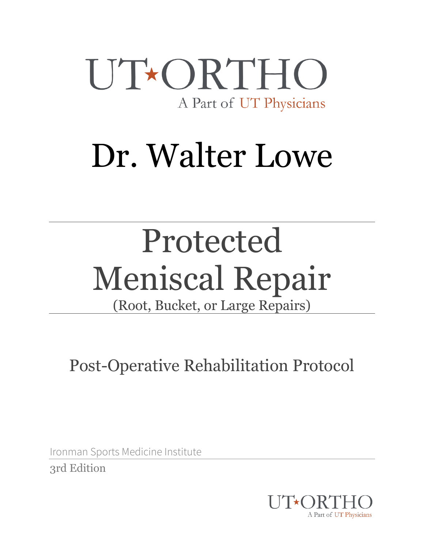

# Dr. Walter Lowe

# Protected Meniscal Repair

(Root, Bucket, or Large Repairs)

Post-Operative Rehabilitation Protocol

Ironman Sports Medicine Institute 3rd Edition

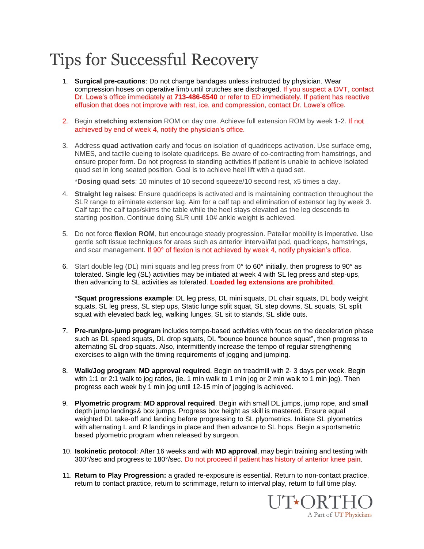### Tips for Successful Recovery

- 1. **Surgical pre-cautions**: Do not change bandages unless instructed by physician. Wear compression hoses on operative limb until crutches are discharged. If you suspect a DVT, contact Dr. Lowe's office immediately at **713-486-6540** or refer to ED immediately. If patient has reactive effusion that does not improve with rest, ice, and compression, contact Dr. Lowe's office.
- 2. Begin **stretching extension** ROM on day one. Achieve full extension ROM by week 1-2. If not achieved by end of week 4, notify the physician's office.
- 3. Address **quad activation** early and focus on isolation of quadriceps activation. Use surface emg, NMES, and tactile cueing to isolate quadriceps. Be aware of co-contracting from hamstrings, and ensure proper form. Do not progress to standing activities if patient is unable to achieve isolated quad set in long seated position. Goal is to achieve heel lift with a quad set.

\***Dosing quad sets**: 10 minutes of 10 second squeeze/10 second rest, x5 times a day.

- 4. **Straight leg raises**: Ensure quadriceps is activated and is maintaining contraction throughout the SLR range to eliminate extensor lag. Aim for a calf tap and elimination of extensor lag by week 3. Calf tap: the calf taps/skims the table while the heel stays elevated as the leg descends to starting position. Continue doing SLR until 10# ankle weight is achieved.
- 5. Do not force **flexion ROM**, but encourage steady progression. Patellar mobility is imperative. Use gentle soft tissue techniques for areas such as anterior interval/fat pad, quadriceps, hamstrings, and scar management. If 90° of flexion is not achieved by week 4, notify physician's office.
- 6. Start double leg (DL) mini squats and leg press from 0° to 60° initially, then progress to 90° as tolerated. Single leg (SL) activities may be initiated at week 4 with SL leg press and step-ups, then advancing to SL activities as tolerated. **Loaded leg extensions are prohibited**.

\***Squat progressions example**: DL leg press, DL mini squats, DL chair squats, DL body weight squats, SL leg press, SL step ups, Static lunge split squat, SL step downs, SL squats, SL split squat with elevated back leg, walking lunges, SL sit to stands, SL slide outs.

- 7. **Pre-run/pre-jump program** includes tempo-based activities with focus on the deceleration phase such as DL speed squats, DL drop squats, DL "bounce bounce bounce squat", then progress to alternating SL drop squats. Also, intermittently increase the tempo of regular strengthening exercises to align with the timing requirements of jogging and jumping.
- 8. **Walk/Jog program**: **MD approval required**. Begin on treadmill with 2- 3 days per week. Begin with 1:1 or 2:1 walk to jog ratios, (ie. 1 min walk to 1 min jog or 2 min walk to 1 min jog). Then progress each week by 1 min jog until 12-15 min of jogging is achieved.
- 9. **Plyometric program**: **MD approval required**. Begin with small DL jumps, jump rope, and small depth jump landings& box jumps. Progress box height as skill is mastered. Ensure equal weighted DL take-off and landing before progressing to SL plyometrics. Initiate SL plyometrics with alternating L and R landings in place and then advance to SL hops. Begin a sportsmetric based plyometric program when released by surgeon.
- 10. **Isokinetic protocol**: After 16 weeks and with **MD approval**, may begin training and testing with 300°/sec and progress to 180°/sec. Do not proceed if patient has history of anterior knee pain.
- 11. **Return to Play Progression:** a graded re-exposure is essential. Return to non-contact practice, return to contact practice, return to scrimmage, return to interval play, return to full time play.

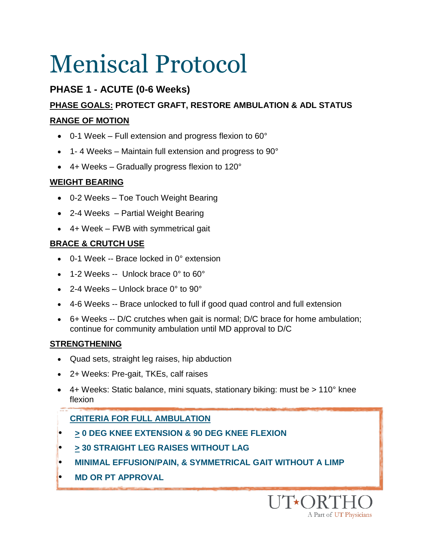### **PHASE 1 - ACUTE (0-6 Weeks)**

### **PHASE GOALS: PROTECT GRAFT, RESTORE AMBULATION & ADL STATUS RANGE OF MOTION**

- $\bullet$  0-1 Week Full extension and progress flexion to 60 $^{\circ}$
- 1-4 Weeks Maintain full extension and progress to 90°
- 4+ Weeks Gradually progress flexion to 120°

### **WEIGHT BEARING**

- 0-2 Weeks Toe Touch Weight Bearing
- 2-4 Weeks Partial Weight Bearing
- 4+ Week FWB with symmetrical gait

### **BRACE & CRUTCH USE**

- 0-1 Week -- Brace locked in 0° extension
- 1-2 Weeks -- Unlock brace 0° to 60°
- $\bullet$  2-4 Weeks Unlock brace 0 $\degree$  to 90 $\degree$
- 4-6 Weeks -- Brace unlocked to full if good quad control and full extension
- 6+ Weeks -- D/C crutches when gait is normal; D/C brace for home ambulation; continue for community ambulation until MD approval to D/C

### **STRENGTHENING**

- Quad sets, straight leg raises, hip abduction
- 2+ Weeks: Pre-gait, TKEs, calf raises
- $\bullet$  4+ Weeks: Static balance, mini squats, stationary biking: must be  $> 110^{\circ}$  knee flexion

### **CRITERIA FOR FULL AMBULATION**

- • **> 0 DEG KNEE EXTENSION & 90 DEG KNEE FLEXION**
- **> 30 STRAIGHT LEG RAISES WITHOUT LAG**
- **MINIMAL EFFUSION/PAIN, & SYMMETRICAL GAIT WITHOUT A LIMP**
- • **MD OR PT APPROVAL**

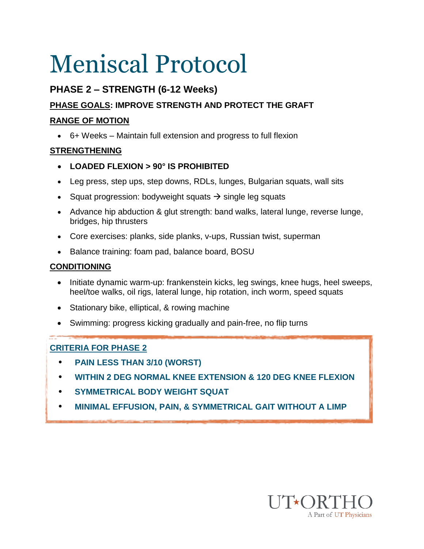### **PHASE 2 – STRENGTH (6-12 Weeks)**

### **PHASE GOALS: IMPROVE STRENGTH AND PROTECT THE GRAFT**

#### **RANGE OF MOTION**

6+ Weeks – Maintain full extension and progress to full flexion

### **STRENGTHENING**

- **LOADED FLEXION > 90° IS PROHIBITED**
- Leg press, step ups, step downs, RDLs, lunges, Bulgarian squats, wall sits
- Squat progression: bodyweight squats  $\rightarrow$  single leg squats
- Advance hip abduction & glut strength: band walks, lateral lunge, reverse lunge, bridges, hip thrusters
- Core exercises: planks, side planks, v-ups, Russian twist, superman
- Balance training: foam pad, balance board, BOSU

#### **CONDITIONING**

- Initiate dynamic warm-up: frankenstein kicks, leg swings, knee hugs, heel sweeps, heel/toe walks, oil rigs, lateral lunge, hip rotation, inch worm, speed squats
- Stationary bike, elliptical, & rowing machine
- Swimming: progress kicking gradually and pain-free, no flip turns

### **CRITERIA FOR PHASE 2**

- • **PAIN LESS THAN 3/10 (WORST)**
- • **WITHIN 2 DEG NORMAL KNEE EXTENSION & 120 DEG KNEE FLEXION**
- **SYMMETRICAL BODY WEIGHT SQUAT**
- **MINIMAL EFFUSION, PAIN, & SYMMETRICAL GAIT WITHOUT A LIMP**

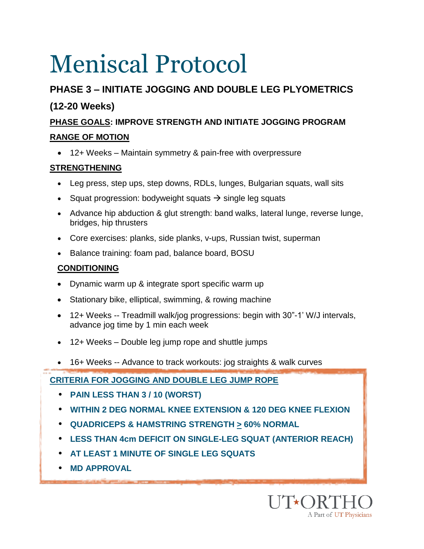### **PHASE 3 – INITIATE JOGGING AND DOUBLE LEG PLYOMETRICS**

### **(12-20 Weeks)**

### **PHASE GOALS: IMPROVE STRENGTH AND INITIATE JOGGING PROGRAM**

### **RANGE OF MOTION**

12+ Weeks – Maintain symmetry & pain-free with overpressure

### **STRENGTHENING**

- Leg press, step ups, step downs, RDLs, lunges, Bulgarian squats, wall sits
- Squat progression: bodyweight squats  $\rightarrow$  single leg squats
- Advance hip abduction & glut strength: band walks, lateral lunge, reverse lunge, bridges, hip thrusters
- Core exercises: planks, side planks, v-ups, Russian twist, superman
- Balance training: foam pad, balance board, BOSU

### **CONDITIONING**

- Dynamic warm up & integrate sport specific warm up
- Stationary bike, elliptical, swimming, & rowing machine
- 12+ Weeks -- Treadmill walk/jog progressions: begin with 30"-1' W/J intervals, advance jog time by 1 min each week
- 12+ Weeks Double leg jump rope and shuttle jumps
- 16+ Weeks -- Advance to track workouts: jog straights & walk curves

### **CRITERIA FOR JOGGING AND DOUBLE LEG JUMP ROPE**

- **PAIN LESS THAN 3 / 10 (WORST)**
- **WITHIN 2 DEG NORMAL KNEE EXTENSION & 120 DEG KNEE FLEXION**
- **QUADRICEPS & HAMSTRING STRENGTH > 60% NORMAL**
- **LESS THAN 4cm DEFICIT ON SINGLE-LEG SQUAT (ANTERIOR REACH)**
- **AT LEAST 1 MINUTE OF SINGLE LEG SQUATS**
- **MD APPROVAL**

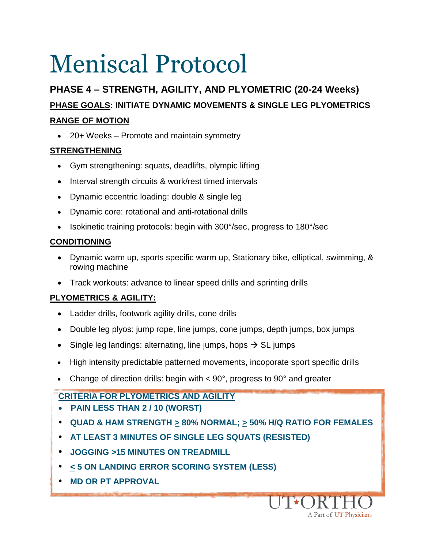### **PHASE 4 – STRENGTH, AGILITY, AND PLYOMETRIC (20-24 Weeks) PHASE GOALS: INITIATE DYNAMIC MOVEMENTS & SINGLE LEG PLYOMETRICS RANGE OF MOTION**

20+ Weeks – Promote and maintain symmetry

### **STRENGTHENING**

- Gym strengthening: squats, deadlifts, olympic lifting
- Interval strength circuits & work/rest timed intervals
- Dynamic eccentric loading: double & single leg
- Dynamic core: rotational and anti-rotational drills
- Isokinetic training protocols: begin with 300°/sec, progress to 180°/sec

### **CONDITIONING**

- Dynamic warm up, sports specific warm up, Stationary bike, elliptical, swimming, & rowing machine
- Track workouts: advance to linear speed drills and sprinting drills

### **PLYOMETRICS & AGILITY:**

- Ladder drills, footwork agility drills, cone drills
- Double leg plyos: jump rope, line jumps, cone jumps, depth jumps, box jumps
- Single leg landings: alternating, line jumps, hops  $\rightarrow$  SL jumps
- High intensity predictable patterned movements, incoporate sport specific drills
- Change of direction drills: begin with  $\lt 90^\circ$ , progress to 90 $^\circ$  and greater

### **CRITERIA FOR PLYOMETRICS AND AGILITY**

- **PAIN LESS THAN 2 / 10 (WORST)**
- **QUAD & HAM STRENGTH > 80% NORMAL; > 50% H/Q RATIO FOR FEMALES**
- **AT LEAST 3 MINUTES OF SINGLE LEG SQUATS (RESISTED)**
- **JOGGING >15 MINUTES ON TREADMILL**
- **< 5 ON LANDING ERROR SCORING SYSTEM (LESS)**
- **MD OR PT APPROVAL**

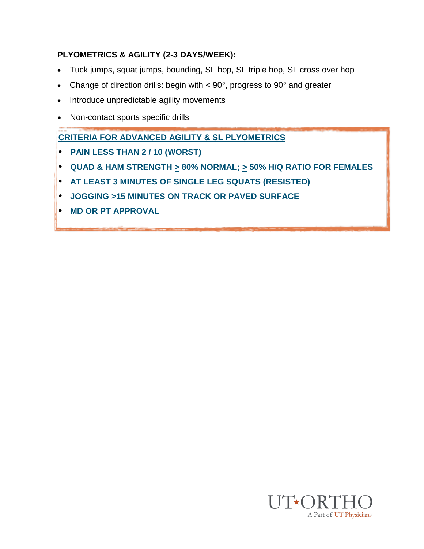#### **PLYOMETRICS & AGILITY (2-3 DAYS/WEEK):**

- Tuck jumps, squat jumps, bounding, SL hop, SL triple hop, SL cross over hop
- Change of direction drills: begin with < 90°, progress to 90° and greater
- Introduce unpredictable agility movements
- Non-contact sports specific drills

**CRITERIA FOR ADVANCED AGILITY & SL PLYOMETRICS**

- **PAIN LESS THAN 2 / 10 (WORST)**
- **QUAD & HAM STRENGTH > 80% NORMAL; > 50% H/Q RATIO FOR FEMALES**
- **AT LEAST 3 MINUTES OF SINGLE LEG SQUATS (RESISTED)**
- **JOGGING >15 MINUTES ON TRACK OR PAVED SURFACE**
- **MD OR PT APPROVAL**